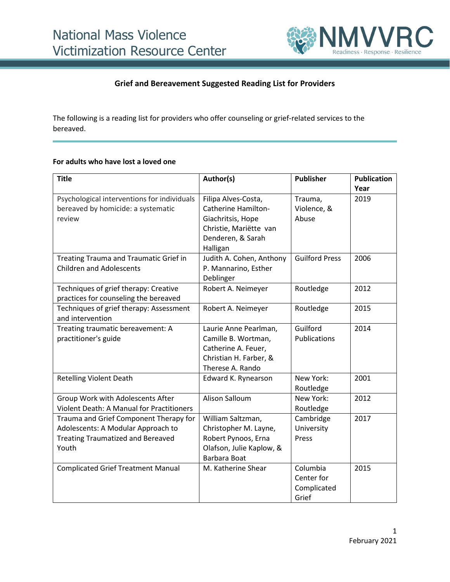

## **Grief and Bereavement Suggested Reading List for Providers**

The following is a reading list for providers who offer counseling or grief-related services to the bereaved.

#### **For adults who have lost a loved one**

| <b>Title</b>                                     | Author(s)                | <b>Publisher</b>      | <b>Publication</b> |
|--------------------------------------------------|--------------------------|-----------------------|--------------------|
|                                                  |                          |                       | Year               |
| Psychological interventions for individuals      | Filipa Alves-Costa,      | Trauma,               | 2019               |
| bereaved by homicide: a systematic               | Catherine Hamilton-      | Violence, &           |                    |
| review                                           | Giachritsis, Hope        | Abuse                 |                    |
|                                                  | Christie, Mariëtte van   |                       |                    |
|                                                  | Denderen, & Sarah        |                       |                    |
|                                                  | Halligan                 |                       |                    |
| Treating Trauma and Traumatic Grief in           | Judith A. Cohen, Anthony | <b>Guilford Press</b> | 2006               |
| <b>Children and Adolescents</b>                  | P. Mannarino, Esther     |                       |                    |
|                                                  | Deblinger                |                       |                    |
| Techniques of grief therapy: Creative            | Robert A. Neimeyer       | Routledge             | 2012               |
| practices for counseling the bereaved            |                          |                       |                    |
| Techniques of grief therapy: Assessment          | Robert A. Neimeyer       | Routledge             | 2015               |
| and intervention                                 |                          |                       |                    |
| Treating traumatic bereavement: A                | Laurie Anne Pearlman,    | Guilford              | 2014               |
| practitioner's guide                             | Camille B. Wortman,      | Publications          |                    |
|                                                  | Catherine A. Feuer,      |                       |                    |
|                                                  | Christian H. Farber, &   |                       |                    |
|                                                  | Therese A. Rando         |                       |                    |
| <b>Retelling Violent Death</b>                   | Edward K. Rynearson      | New York:             | 2001               |
|                                                  |                          | Routledge             |                    |
| Group Work with Adolescents After                | <b>Alison Salloum</b>    | New York:             | 2012               |
| <b>Violent Death: A Manual for Practitioners</b> |                          | Routledge             |                    |
| Trauma and Grief Component Therapy for           | William Saltzman,        | Cambridge             | 2017               |
| Adolescents: A Modular Approach to               | Christopher M. Layne,    | University            |                    |
| <b>Treating Traumatized and Bereaved</b>         | Robert Pynoos, Erna      | Press                 |                    |
| Youth                                            | Olafson, Julie Kaplow, & |                       |                    |
|                                                  | Barbara Boat             |                       |                    |
| <b>Complicated Grief Treatment Manual</b>        | M. Katherine Shear       | Columbia              | 2015               |
|                                                  |                          | Center for            |                    |
|                                                  |                          | Complicated           |                    |
|                                                  |                          | Grief                 |                    |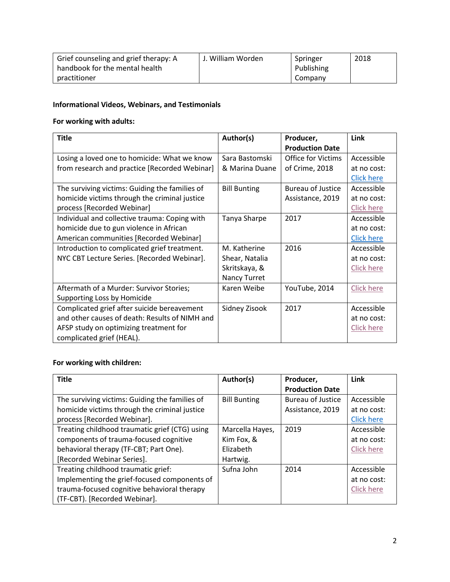| Grief counseling and grief therapy: A | J. William Worden | Springer   | 2018 |
|---------------------------------------|-------------------|------------|------|
| handbook for the mental health        |                   | Publishing |      |
| practitioner                          |                   | Company    |      |

## **Informational Videos, Webinars, and Testimonials**

# **For working with adults:**

| <b>Title</b>                                   | Author(s)           | Producer,              | Link              |
|------------------------------------------------|---------------------|------------------------|-------------------|
|                                                |                     | <b>Production Date</b> |                   |
| Losing a loved one to homicide: What we know   | Sara Bastomski      | Office for Victims     | Accessible        |
| from research and practice [Recorded Webinar]  | & Marina Duane      | of Crime, 2018         | at no cost:       |
|                                                |                     |                        | <b>Click here</b> |
| The surviving victims: Guiding the families of | <b>Bill Bunting</b> | Bureau of Justice      | Accessible        |
| homicide victims through the criminal justice  |                     | Assistance, 2019       | at no cost:       |
| process [Recorded Webinar]                     |                     |                        | <b>Click here</b> |
| Individual and collective trauma: Coping with  | Tanya Sharpe        | 2017                   | Accessible        |
| homicide due to gun violence in African        |                     |                        | at no cost:       |
| American communities [Recorded Webinar]        |                     |                        | <b>Click here</b> |
| Introduction to complicated grief treatment.   | M. Katherine        | 2016                   | Accessible        |
| NYC CBT Lecture Series. [Recorded Webinar].    | Shear, Natalia      |                        | at no cost:       |
|                                                | Skritskaya, &       |                        | <b>Click here</b> |
|                                                | Nancy Turret        |                        |                   |
| Aftermath of a Murder: Survivor Stories;       | Karen Weibe         | YouTube, 2014          | <b>Click here</b> |
| Supporting Loss by Homicide                    |                     |                        |                   |
| Complicated grief after suicide bereavement    | Sidney Zisook       | 2017                   | Accessible        |
| and other causes of death: Results of NIMH and |                     |                        | at no cost:       |
| AFSP study on optimizing treatment for         |                     |                        | <b>Click here</b> |
| complicated grief (HEAL).                      |                     |                        |                   |

# **For working with children:**

| <b>Title</b>                                   | Author(s)           | Producer,                | Link              |
|------------------------------------------------|---------------------|--------------------------|-------------------|
|                                                |                     | <b>Production Date</b>   |                   |
| The surviving victims: Guiding the families of | <b>Bill Bunting</b> | <b>Bureau of Justice</b> | Accessible        |
| homicide victims through the criminal justice  |                     | Assistance, 2019         | at no cost:       |
| process [Recorded Webinar].                    |                     |                          | <b>Click here</b> |
| Treating childhood traumatic grief (CTG) using | Marcella Hayes,     | 2019                     | Accessible        |
| components of trauma-focused cognitive         | Kim Fox, &          |                          | at no cost:       |
| behavioral therapy (TF-CBT; Part One).         | Elizabeth           |                          | Click here        |
| [Recorded Webinar Series].                     | Hartwig.            |                          |                   |
| Treating childhood traumatic grief:            | Sufna John          | 2014                     | Accessible        |
| Implementing the grief-focused components of   |                     |                          | at no cost:       |
| trauma-focused cognitive behavioral therapy    |                     |                          | <b>Click here</b> |
| (TF-CBT). [Recorded Webinar].                  |                     |                          |                   |